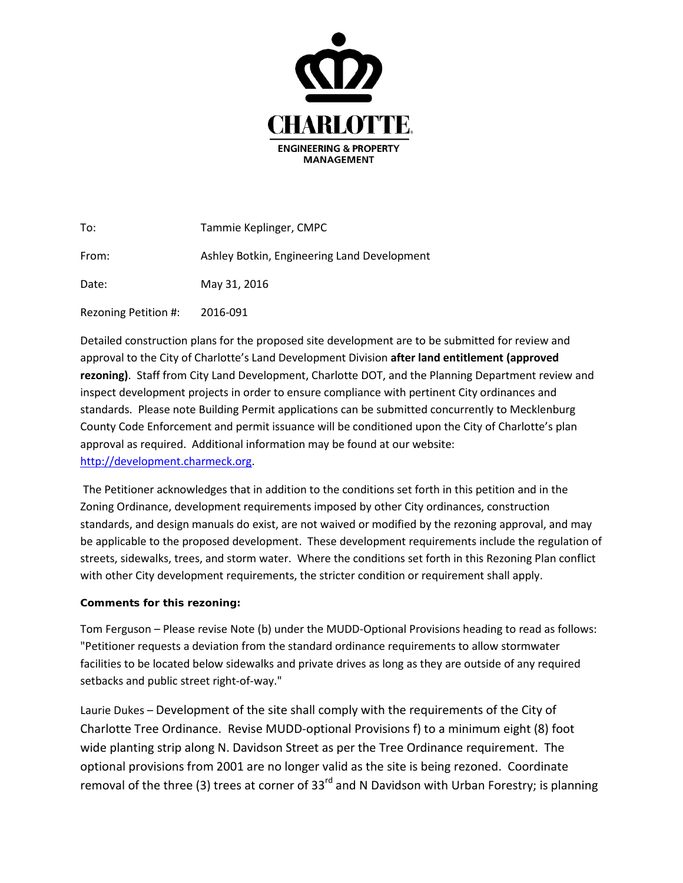

| To:                  | Tammie Keplinger, CMPC                      |
|----------------------|---------------------------------------------|
| From:                | Ashley Botkin, Engineering Land Development |
| Date:                | May 31, 2016                                |
| Rezoning Petition #: | 2016-091                                    |

Detailed construction plans for the proposed site development are to be submitted for review and approval to the City of Charlotte's Land Development Division **after land entitlement (approved rezoning)**. Staff from City Land Development, Charlotte DOT, and the Planning Department review and inspect development projects in order to ensure compliance with pertinent City ordinances and standards. Please note Building Permit applications can be submitted concurrently to Mecklenburg County Code Enforcement and permit issuance will be conditioned upon the City of Charlotte's plan approval as required. Additional information may be found at our website: [http://development.charmeck.org.](http://development.charmeck.org/)

The Petitioner acknowledges that in addition to the conditions set forth in this petition and in the Zoning Ordinance, development requirements imposed by other City ordinances, construction standards, and design manuals do exist, are not waived or modified by the rezoning approval, and may be applicable to the proposed development. These development requirements include the regulation of streets, sidewalks, trees, and storm water. Where the conditions set forth in this Rezoning Plan conflict with other City development requirements, the stricter condition or requirement shall apply.

## **Comments for this rezoning:**

Tom Ferguson – Please revise Note (b) under the MUDD-Optional Provisions heading to read as follows: "Petitioner requests a deviation from the standard ordinance requirements to allow stormwater facilities to be located below sidewalks and private drives as long as they are outside of any required setbacks and public street right-of-way."

Laurie Dukes – Development of the site shall comply with the requirements of the City of Charlotte Tree Ordinance. Revise MUDD-optional Provisions f) to a minimum eight (8) foot wide planting strip along N. Davidson Street as per the Tree Ordinance requirement. The optional provisions from 2001 are no longer valid as the site is being rezoned. Coordinate removal of the three (3) trees at corner of 33<sup>rd</sup> and N Davidson with Urban Forestry; is planning